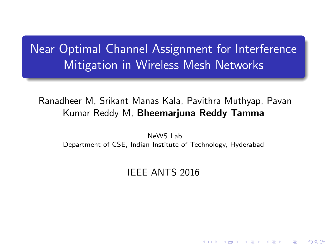# Near Optimal Channel Assignment for Interference Mitigation in Wireless Mesh Networks

# Ranadheer M, Srikant Manas Kala, Pavithra Muthyap, Pavan Kumar Reddy M, Bheemarjuna Reddy Tamma

<span id="page-0-0"></span>NeWS Lab Department of CSE, Indian Institute of Technology, Hyderabad

# IEEE ANTS 2016

K ロ K K d K K K X X R X X R X R R

 $2Q$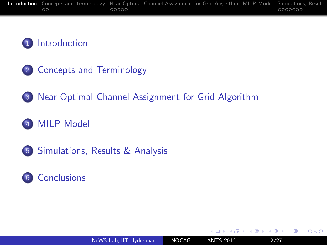# 1 [Introduction](#page-1-0)

- 2 [Concepts and Terminology](#page-3-0)
- 3 [Near Optimal Channel Assignment for Grid Algorithm](#page-5-0)
- 4 [MILP Model](#page-12-0)
- 5 [Simulations, Results & Analysis](#page-16-0)
- 6 [Conclusions](#page-23-0)

 $\sim$   $\sim$ 

4.重

<span id="page-1-0"></span> $\Omega$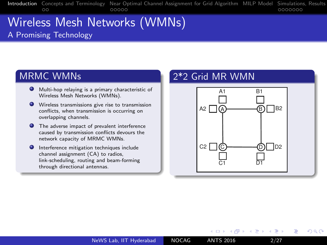# Wireless Mesh Networks (WMNs) A Promising Technology

#### MRMC WMNs

- Multi-hop relaying is a primary characteristic of Wireless Mesh Networks (WMNs).
- Wireless transmissions give rise to transmission conflicts, when transmission is occurring on overlapping channels.
- **O** The adverse impact of prevalent interference caused by transmission conflicts devours the network capacity of MRMC WMNs.
- **Interference mitigation techniques include** channel assignment (CA) to radios, link-scheduling, routing and beam-forming through directional antennas.

### 2\*2 Grid MR WMN



**←ロ ▶ ← ← 冊 ▶** 

 $200$ 

化重复 化重变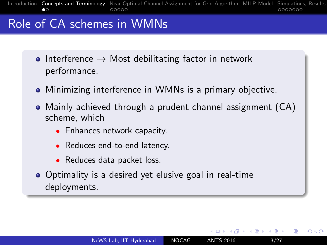# Role of CA schemes in WMNs

- Interference  $\rightarrow$  Most debilitating factor in network performance.
- Minimizing interference in WMNs is a primary objective.
- Mainly achieved through a prudent channel assignment (CA) scheme, which
	- Enhances network capacity.
	- Reduces end-to-end latency.
	- Reduces data packet loss.
- <span id="page-3-0"></span>• Optimality is a desired yet elusive goal in real-time deployments.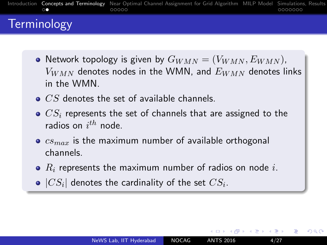

# **Terminology**

- Network topology is given by  $G_{WMN} = (V_{WMN}, E_{WMN})$ ,  $V_{WMN}$  denotes nodes in the WMN, and  $E_{WMN}$  denotes links in the WMN
- $\bullet$   $CS$  denotes the set of available channels.
- $\bullet$   $CS_i$  represents the set of channels that are assigned to the radios on  $i^{th}$  node.
- $\bullet$   $cs_{max}$  is the maximum number of available orthogonal channels.
- $R_i$  represents the maximum number of radios on node i.
- $|CS_i|$  denotes the cardinality of the set  $CS_i.$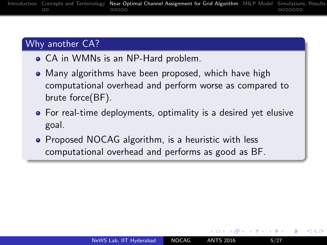### Why another CA?

- CA in WMNs is an NP-Hard problem.
- Many algorithms have been proposed, which have high computational overhead and perform worse as compared to brute force(BF).
- For real-time deployments, optimality is a desired yet elusive goal.
- <span id="page-5-0"></span>• Proposed NOCAG algorithm, is a heuristic with less computational overhead and performs as good as BF.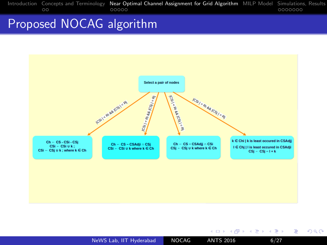[Introduction](#page-1-0) [Concepts and Terminology](#page-3-0) **[Near Optimal Channel Assignment for Grid Algorithm](#page-5-0)** [MILP Model](#page-12-0) Simulations, Results<br>0000000

# Proposed NOCAG algorithm



[NeWS Lab, IIT Hyderabad](#page-0-0) NOCAG ANTS 2016 6/27

目

 $299$ 

メロメ メ部メ メミメ メミメ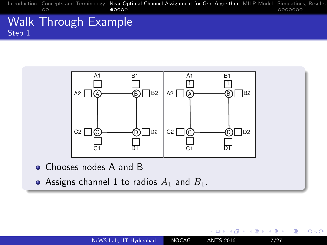### Walk Through Example Step 1



• Assigns channel 1 to radios  $A_1$  and  $B_1$ .

4日 8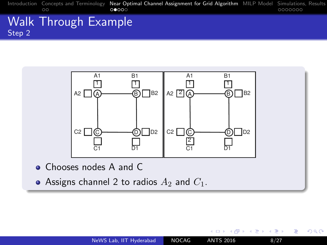### Walk Through Example Step 2



- Chooses nodes A and C
- Assigns channel 2 to radios  $A_2$  and  $C_1$ .

 $\leftarrow$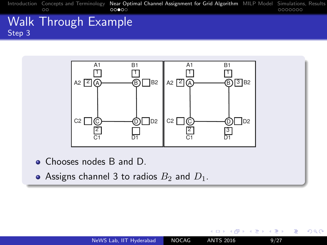[Introduction](#page-1-0) [Concepts and Terminology](#page-3-0) [Near Optimal Channel Assignment for Grid Algorithm](#page-5-0) [MILP Model](#page-12-0) Simulations, Results<br>0000000 0000000

### Walk Through Example Step 3



- Chooses nodes B and D.
- Assigns channel 3 to radios  $B_2$  and  $D_1$ .

 $\leftarrow$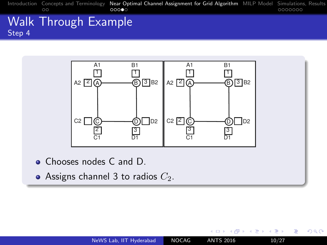[Introduction](#page-1-0) [Concepts and Terminology](#page-3-0) [Near Optimal Channel Assignment for Grid Algorithm](#page-5-0) [MILP Model](#page-12-0) Simulations, Results<br>0000000 000000 00000

### Walk Through Example Step 4



- Chooses nodes C and D.
- Assigns channel 3 to radios  $C_2$ .

 $\leftarrow$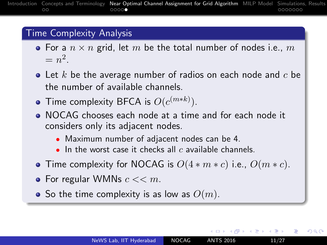#### Time Complexity Analysis

- For a  $n \times n$  grid, let m be the total number of nodes i.e., m  $=n^2$ .
- $\bullet$  Let k be the average number of radios on each node and  $c$  be the number of available channels.
- Time complexity BFCA is  $O(c^{(m*k)})$ .
- NOCAG chooses each node at a time and for each node it considers only its adjacent nodes.
	- Maximum number of adjacent nodes can be 4.
	- $\bullet$  In the worst case it checks all c available channels.
- **•** Time complexity for NOCAG is  $O(4 * m * c)$  i.e.,  $O(m * c)$ .
- For regular WMNs  $c \ll m$ .
- <span id="page-11-0"></span>• So the time complexity is as low as  $O(m)$ .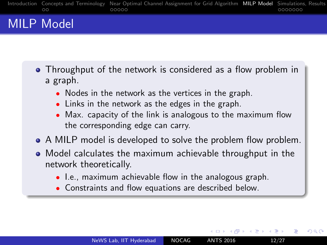# MILP Model

- Throughput of the network is considered as a flow problem in a graph.
	- Nodes in the network as the vertices in the graph.
	- Links in the network as the edges in the graph.
	- Max. capacity of the link is analogous to the maximum flow the corresponding edge can carry.
- A MILP model is developed to solve the problem flow problem.
- <span id="page-12-0"></span>Model calculates the maximum achievable throughput in the network theoretically.
	- I.e., maximum achievable flow in the analogous graph.
	- Constraints and flow equations are described below.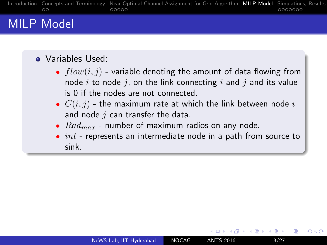# MILP Model

### Variables Used:

- $flow(i, j)$  variable denoting the amount of data flowing from node i to node j, on the link connecting i and j and its value is 0 if the nodes are not connected.
- $C(i, j)$  the maximum rate at which the link between node i and node  $j$  can transfer the data.
- $Rad_{max}$  number of maximum radios on any node.
- $\bullet$  int represents an intermediate node in a path from source to sink.

<span id="page-13-0"></span> $200$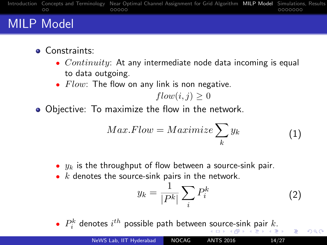# MILP Model

- **o** Constraints:
	- $Continuity$ : At any intermediate node data incoming is equal to data outgoing.
	- $Flow$ : The flow on any link is non negative.

$$
flow(i, j) \ge 0
$$

Objective: To maximize the flow in the network.

$$
Max.Flow = Maximize \sum_{k} y_k \tag{1}
$$

- $y_k$  is the throughput of flow between a source-sink pair.
- $k$  denotes the source-sink pairs in the network.

$$
y_k = \frac{1}{|P^k|} \sum_i P_i^k \tag{2}
$$

<span id="page-14-0"></span> $QQ$ 

•  $P_i^k$  $P_i^k$  d[e](#page-13-0)[n](#page-15-0)otes  $i^{th}$  possible path between [so](#page-13-0)[urc](#page-15-0)e[-si](#page-14-0)nk [p](#page-12-0)[a](#page-15-0)[ir](#page-16-0)  $k$ 

| NeWS Lab, IIT Hyderabad | <b>NOCAG</b> | <b>ANTS 2016</b> | 14/27 |
|-------------------------|--------------|------------------|-------|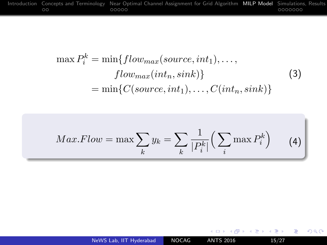$$
\max P_i^k = \min\{flow_{max}(source, int_1), \dots, \\
flow_{max}(int_n, sink)\}
$$
\n
$$
= \min\{C(source, int_1), \dots, C(int_n, sink)\}
$$
\n(3)

$$
Max.Flow = \max \sum_{k} y_k = \sum_{k} \frac{1}{|P_i^k|} \left( \sum_{i} \max P_i^k \right) \qquad (4)
$$

[NeWS Lab, IIT Hyderabad](#page-0-0) NOCAG ANTS 2016 15/27

イロメ イ団メ イ毛メ イ毛メー

(重)

<span id="page-15-0"></span> $299$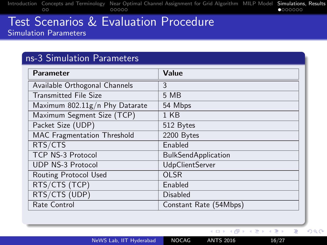#### Test Scenarios & Evaluation Procedure Simulation Parameters

#### ns-3 Simulation Parameters

| Parameter                          | Value                      |
|------------------------------------|----------------------------|
| Available Orthogonal Channels      | 3                          |
| <b>Transmitted File Size</b>       | 5 MB                       |
| Maximum 802.11g/n Phy Datarate     | 54 Mbps                    |
| Maximum Segment Size (TCP)         | 1 KB                       |
| Packet Size (UDP)                  | 512 Bytes                  |
| <b>MAC</b> Fragmentation Threshold | 2200 Bytes                 |
| RTS/CTS                            | Enabled                    |
| <b>TCP NS-3 Protocol</b>           | <b>BulkSendApplication</b> |
| <b>UDP NS-3 Protocol</b>           | <b>UdpClientServer</b>     |
| Routing Protocol Used              | <b>OLSR</b>                |
| RTS/CTS (TCP)                      | Enabled                    |
| RTS/CTS (UDP)                      | <b>Disabled</b>            |
| Rate Control                       | Constant Rate (54Mbps)     |

[NeWS Lab, IIT Hyderabad](#page-0-0) NOCAG ANTS 2016 16/27

イロト イ部 トメ 君 トメ 君 ト

<span id="page-16-0"></span> $299$ 

重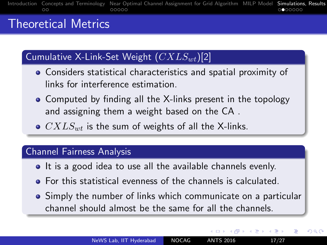# Theoretical Metrics

# Cumulative X-Link-Set Weight  $(CXLS_{wt})[2]$

- Considers statistical characteristics and spatial proximity of links for interference estimation.
- Computed by finding all the X-links present in the topology and assigning them a weight based on the CA .
- $\bullet$   $CXLS_{wt}$  is the sum of weights of all the X-links.

#### Channel Fairness Analysis

- It is a good idea to use all the available channels evenly.
- For this statistical evenness of the channels is calculated.
- Simply the number of links which communicate on a particular channel should almost be the same for all the channels.

- ← 何 ▶ → ( ヨ ▶ → ( ヨ ▶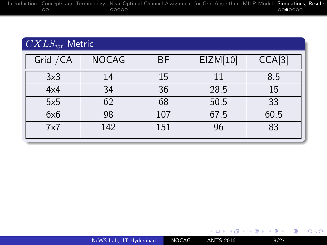|    | Introduction Concepts and Terminology Near Optimal Channel Assignment for Grid Algorithm MILP Model Simulations, Results |         |
|----|--------------------------------------------------------------------------------------------------------------------------|---------|
| ററ | 00000                                                                                                                    | 0000000 |

# $CXLS_{wt}$  Metric

| Grid / CA  | <b>NOCAG</b> | <b>BF</b> | EIZM[10] | CCA[3] |
|------------|--------------|-----------|----------|--------|
| 3x3        | 14           | 15        |          | 8.5    |
| 4x4        | 34           | 36        | 28.5     | 15     |
| 5x5        | 62           | 68        | 50.5     | 33     |
| 6x6        | 98           | 107       | 67.5     | 60.5   |
| $7\times7$ | 142          | 151       | 96       | 83     |

■ 1  $2990$ 

メロメ メ部メ メミメ メミメ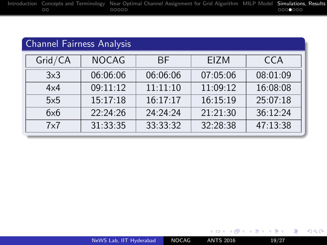### Channel Fairness Analysis

| Grid/CA    | <b>NOCAG</b> | <b>BF</b> | <b>EIZM</b> | CCA      |
|------------|--------------|-----------|-------------|----------|
| 3x3        | 06:06:06     | 06:06:06  | 07:05:06    | 08:01:09 |
| $4\times4$ | 09:11:12     | 11:11:10  | 11:09:12    | 16:08:08 |
| 5x5        | 15:17:18     | 16:17:17  | 16:15:19    | 25:07:18 |
| 6x6        | 22:24:26     | 24:24:24  | 21:21:30    | 36:12:24 |
| 7x7        | 31:33:35     | 33:33:32  | 32:28:38    | 47:13:38 |

目

 $299$ 

イロト イ部 トメ 君 トメ 君 ト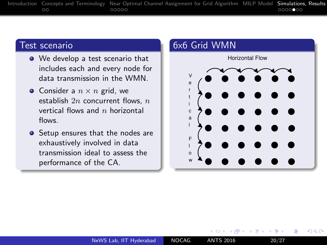#### Test scenario

- We develop a test scenario that includes each and every node for data transmission in the WMN.
- Consider a  $n \times n$  grid, we establish  $2n$  concurrent flows,  $n$ vertical flows and  $n$  horizontal flows.
- Setup ensures that the nodes are exhaustively involved in data transmission ideal to assess the performance of the CA.



4日 8

 $200$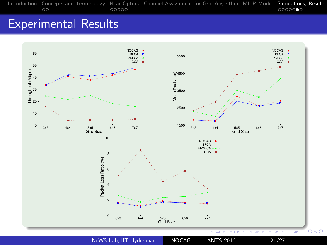# Experimental Results

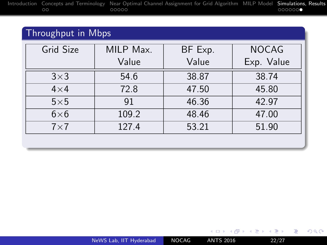### Throughput in Mbps

| MILP Max. | BF Exp. | <b>NOCAG</b> |  |
|-----------|---------|--------------|--|
| Value     | Value   | Exp. Value   |  |
| 54.6      | 38.87   | 38.74        |  |
| 72.8      | 47.50   | 45.80        |  |
| 91        | 46.36   | 42.97        |  |
| 109.2     | 48.46   | 47.00        |  |
| 127.4     | 53.21   | 51.90        |  |
|           |         |              |  |

重

 $299$ 

イロメ イ部メ イミメ イモメ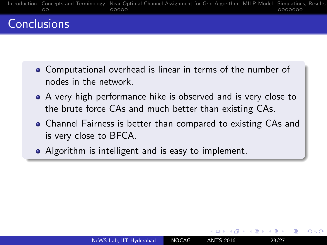

# **Conclusions**

- Computational overhead is linear in terms of the number of nodes in the network.
- A very high performance hike is observed and is very close to the brute force CAs and much better than existing CAs.
- Channel Fairness is better than compared to existing CAs and is very close to BFCA.
- <span id="page-23-0"></span>• Algorithm is intelligent and is easy to implement.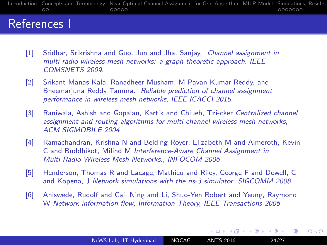[Introduction](#page-1-0) [Concepts and Terminology](#page-3-0) [Near Optimal Channel Assignment for Grid Algorithm](#page-5-0) [MILP Model](#page-12-0) Simulations, Results<br>0000000 000000  $\circ$ 

# References I

- [1] Sridhar, Srikrishna and Guo, Jun and Jha, Sanjay. Channel assignment in multi-radio wireless mesh networks: a graph-theoretic approach. IEEE COMSNETS 2009.
- [2] Srikant Manas Kala, Ranadheer Musham, M Pavan Kumar Reddy, and Bheemarjuna Reddy Tamma. Reliable prediction of channel assignment performance in wireless mesh networks, IEEE ICACCI 2015.
- [3] Raniwala, Ashish and Gopalan, Kartik and Chiueh, Tzi-cker Centralized channel assignment and routing algorithms for multi-channel wireless mesh networks, ACM SIGMOBILE 2004
- [4] Ramachandran, Krishna N and Belding-Royer, Elizabeth M and Almeroth, Kevin C and Buddhikot, Milind M Interference-Aware Channel Assignment in Multi-Radio Wireless Mesh Networks., INFOCOM 2006
- [5] Henderson, Thomas R and Lacage, Mathieu and Riley, George F and Dowell, C and Kopena, J Network simulations with the ns-3 simulator, SIGCOMM 2008
- [6] Ahlswede, Rudolf and Cai, Ning and Li, Shuo-Yen Robert and Yeung, Raymond W Network information flow, Information Theory, IEEE Transactions 2006

э

つくへ

 $\mathcal{A} \xrightarrow{\sim} \mathcal{B} \rightarrow \mathcal{A} \xrightarrow{\sim} \mathcal{B} \rightarrow$ 

**K ロ ▶ K 何 ▶**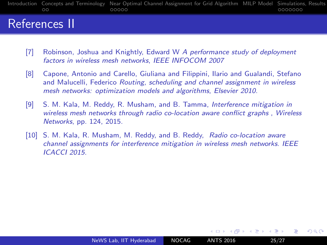[Introduction](#page-1-0) [Concepts and Terminology](#page-3-0) [Near Optimal Channel Assignment for Grid Algorithm](#page-5-0) [MILP Model](#page-12-0) Simulations, Results<br>0000000 000000  $\circ$ 

# References II

- [7] Robinson, Joshua and Knightly, Edward W A performance study of deployment factors in wireless mesh networks, IEEE INFOCOM 2007
- [8] Capone, Antonio and Carello, Giuliana and Filippini, Ilario and Gualandi, Stefano and Malucelli, Federico Routing, scheduling and channel assignment in wireless mesh networks: optimization models and algorithms, Elsevier 2010.
- [9] S. M. Kala, M. Reddy, R. Musham, and B. Tamma, Interference mitigation in wireless mesh networks through radio co-location aware conflict graphs , Wireless Networks, pp. 124, 2015.
- [10] S. M. Kala, R. Musham, M. Reddy, and B. Reddy, Radio co-location aware channel assignments for interference mitigation in wireless mesh networks. IEEE ICACCI 2015.

 $200$ 

(Birth)

**←ロ ▶ ← ← 冊 ▶**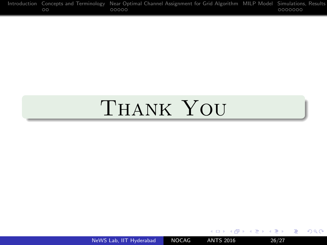[Introduction](#page-1-0) [Concepts and Terminology](#page-3-0) [Near Optimal Channel Assignment for Grid Algorithm](#page-5-0) [MILP Model](#page-12-0) Simulations, Results<br>0000000

# Thank You

[NeWS Lab, IIT Hyderabad](#page-0-0) NOCAG ANTS 2016 26/27

目

 $299$ 

→ イ団 メ イ ヨ メ イ ヨ メ

4 0 8